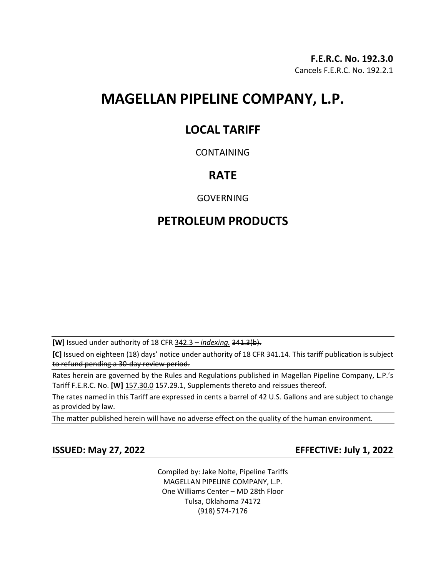# **MAGELLAN PIPELINE COMPANY, L.P.**

### **LOCAL TARIFF**

### CONTAINING

## **RATE**

GOVERNING

## **PETROLEUM PRODUCTS**

**[W]** Issued under authority of 18 CFR 342.3 – *indexing.* 341.3(b).

**[C]** Issued on eighteen (18) days' notice under authority of 18 CFR 341.14. This tariff publication is subject to refund pending a 30-day review period.

Rates herein are governed by the Rules and Regulations published in Magellan Pipeline Company, L.P.'s Tariff F.E.R.C. No. [W] 157.30.0 157.29.1, Supplements thereto and reissues thereof.

The rates named in this Tariff are expressed in cents a barrel of 42 U.S. Gallons and are subject to change as provided by law.

The matter published herein will have no adverse effect on the quality of the human environment.

**ISSUED: May 27, 2022 EFFECTIVE: July 1, 2022**

Compiled by: Jake Nolte, Pipeline Tariffs MAGELLAN PIPELINE COMPANY, L.P. One Williams Center – MD 28th Floor Tulsa, Oklahoma 74172 (918) 574-7176